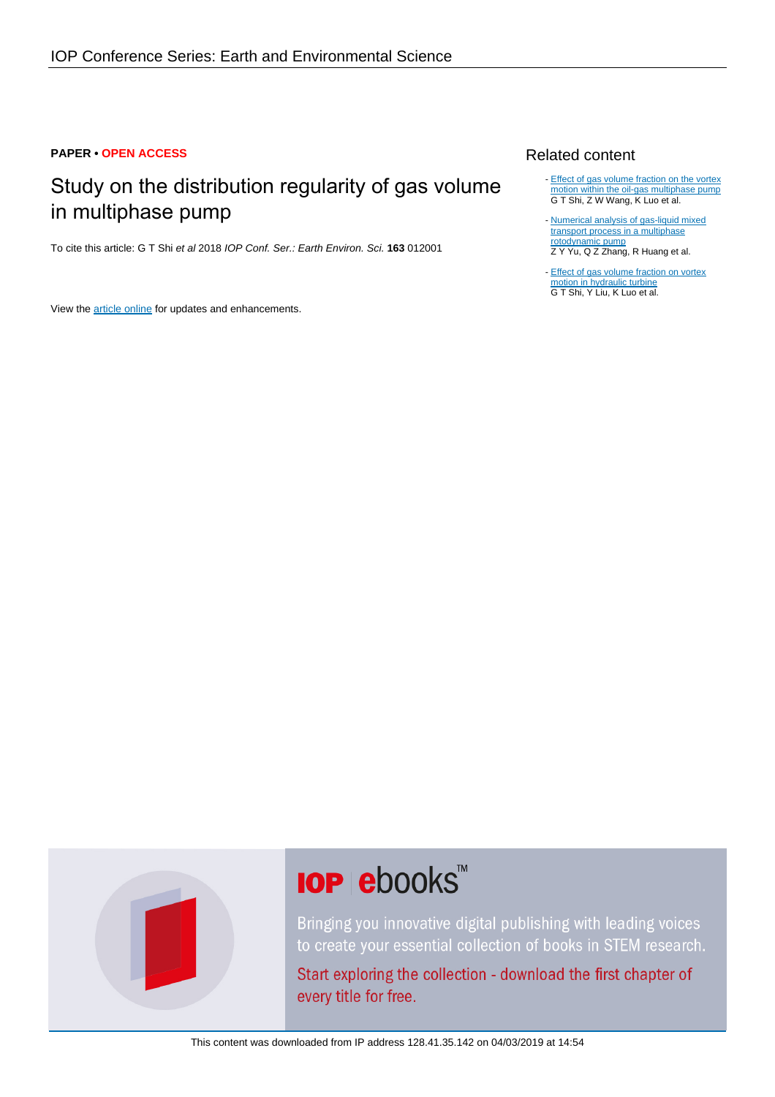#### **PAPER • OPEN ACCESS**

# Study on the distribution regularity of gas volume in multiphase pump

To cite this article: G T Shi et al 2018 IOP Conf. Ser.: Earth Environ. Sci. **163** 012001

View the [article online](https://doi.org/10.1088/1755-1315/163/1/012001) for updates and enhancements.

## Related content

- [Effect of gas volume fraction on the vortex](http://iopscience.iop.org/article/10.1088/1755-1315/163/1/012002) [motion within the oil-gas multiphase pump](http://iopscience.iop.org/article/10.1088/1755-1315/163/1/012002) G T Shi, Z W Wang, K Luo et al.
- [Numerical analysis of gas-liquid mixed](http://iopscience.iop.org/article/10.1088/1755-1315/15/3/032062) [transport process in a multiphase](http://iopscience.iop.org/article/10.1088/1755-1315/15/3/032062) [rotodynamic pump](http://iopscience.iop.org/article/10.1088/1755-1315/15/3/032062) Z Y Yu, Q Z Zhang, R Huang et al. -
- [Effect of gas volume fraction on vortex](http://iopscience.iop.org/article/10.1088/1755-1315/163/1/012117) [motion in hydraulic turbine](http://iopscience.iop.org/article/10.1088/1755-1315/163/1/012117) G T Shi, Y Liu, K Luo et al.



# **IOP ebooks**™

Bringing you innovative digital publishing with leading voices to create your essential collection of books in STEM research.

Start exploring the collection - download the first chapter of every title for free.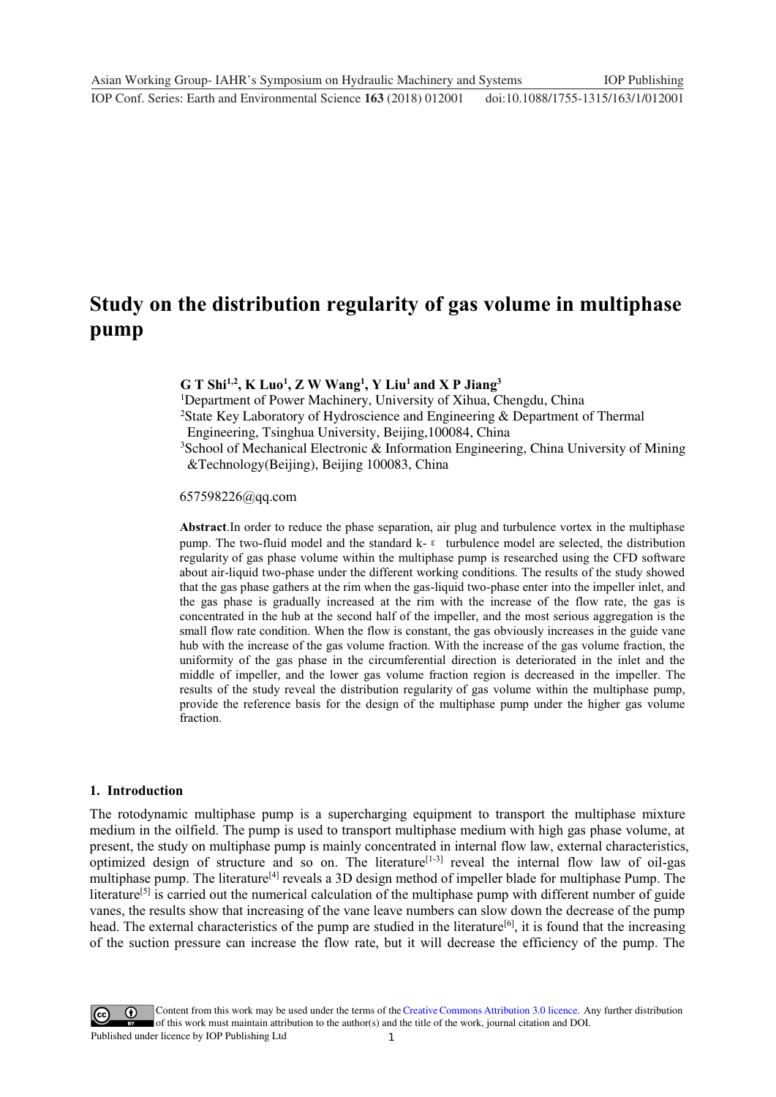# **Study on the distribution regularity of gas volume in multiphase pump**

### **G T Shi1,2, K Luo1 , Z W Wang1 , Y Liu1 and X P Jiang3**

<sup>1</sup>Department of Power Machinery, University of Xihua, Chengdu, China

<sup>2</sup>State Key Laboratory of Hydroscience and Engineering & Department of Thermal Engineering, Tsinghua University, Beijing,100084, China

<sup>3</sup>School of Mechanical Electronic & Information Engineering, China University of Mining &Technology(Beijing), Beijing 100083, China

#### 657598226@qq.com

**Abstract**.In order to reduce the phase separation, air plug and turbulence vortex in the multiphase pump. The two-fluid model and the standard  $k-\varepsilon$  turbulence model are selected, the distribution regularity of gas phase volume within the multiphase pump is researched using the CFD software about air-liquid two-phase under the different working conditions. The results of the study showed that the gas phase gathers at the rim when the gas-liquid two-phase enter into the impeller inlet, and the gas phase is gradually increased at the rim with the increase of the flow rate, the gas is concentrated in the hub at the second half of the impeller, and the most serious aggregation is the small flow rate condition. When the flow is constant, the gas obviously increases in the guide vane hub with the increase of the gas volume fraction. With the increase of the gas volume fraction, the uniformity of the gas phase in the circumferential direction is deteriorated in the inlet and the middle of impeller, and the lower gas volume fraction region is decreased in the impeller. The results of the study reveal the distribution regularity of gas volume within the multiphase pump, provide the reference basis for the design of the multiphase pump under the higher gas volume fraction.

#### **1. Introduction**

The rotodynamic multiphase pump is a supercharging equipment to transport the multiphase mixture medium in the oilfield. The pump is used to transport multiphase medium with high gas phase volume, at present, the study on multiphase pump is mainly concentrated in internal flow law, external characteristics, optimized design of structure and so on. The literature<sup>[1-3]</sup> reveal the internal flow law of oil-gas multiphase pump. The literature<sup>[4]</sup> reveals a 3D design method of impeller blade for multiphase Pump. The literature<sup>[5]</sup> is carried out the numerical calculation of the multiphase pump with different number of guide vanes, the results show that increasing of the vane leave numbers can slow down the decrease of the pump head. The external characteristics of the pump are studied in the literature<sup>[6]</sup>, it is found that the increasing of the suction pressure can increase the flow rate, but it will decrease the efficiency of the pump. The

1 Content from this work may be used under the terms of the[Creative Commons Attribution 3.0 licence.](http://creativecommons.org/licenses/by/3.0) Any further distribution of this work must maintain attribution to the author(s) and the title of the work, journal citation and DOI. Published under licence by IOP Publishing Ltd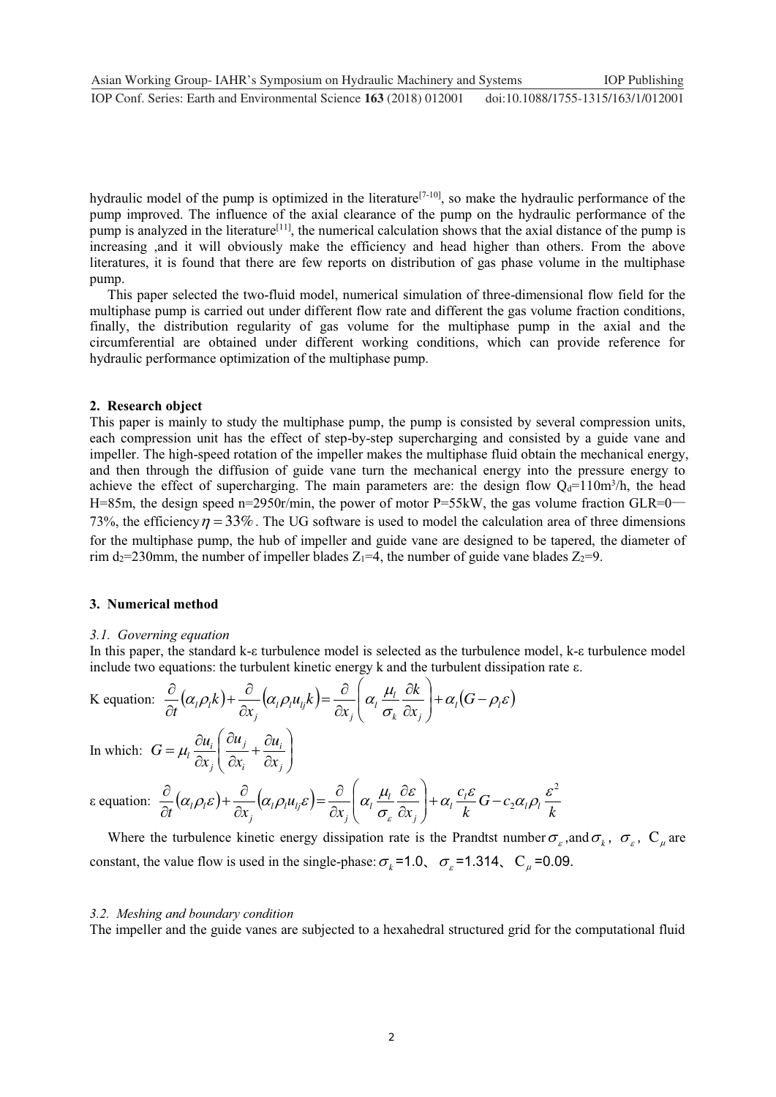hydraulic model of the pump is optimized in the literature<sup>[7-10]</sup>, so make the hydraulic performance of the pump improved. The influence of the axial clearance of the pump on the hydraulic performance of the pump is analyzed in the literature[11], the numerical calculation shows that the axial distance of the pump is increasing ,and it will obviously make the efficiency and head higher than others. From the above literatures, it is found that there are few reports on distribution of gas phase volume in the multiphase pump.

This paper selected the two-fluid model, numerical simulation of three-dimensional flow field for the multiphase pump is carried out under different flow rate and different the gas volume fraction conditions, finally, the distribution regularity of gas volume for the multiphase pump in the axial and the circumferential are obtained under different working conditions, which can provide reference for hydraulic performance optimization of the multiphase pump.

#### **2. Research object**

This paper is mainly to study the multiphase pump, the pump is consisted by several compression units, each compression unit has the effect of step-by-step supercharging and consisted by a guide vane and impeller. The high-speed rotation of the impeller makes the multiphase fluid obtain the mechanical energy, and then through the diffusion of guide vane turn the mechanical energy into the pressure energy to achieve the effect of supercharging. The main parameters are: the design flow  $Q_d=110m^3/h$ , the head H=85m, the design speed n=2950r/min, the power of motor P=55kW, the gas volume fraction GLR=0 73%, the efficiency  $\eta = 33\%$ . The UG software is used to model the calculation area of three dimensions for the multiphase pump, the hub of impeller and guide vane are designed to be tapered, the diameter of rim d<sub>2</sub>=230mm, the number of impeller blades  $Z_1=4$ , the number of guide vane blades  $Z_2=9$ .

#### **3. Numerical method**

#### *3.1. Governing equation*

In this paper, the standard k-ε turbulence model is selected as the turbulence model, k-ε turbulence model include two equations: the turbulent kinetic energy k and the turbulent dissipation rate ε.

K equation: 
$$
\frac{\partial}{\partial t} (\alpha_i \rho_i k) + \frac{\partial}{\partial x_j} (\alpha_i \rho_i u_{ij} k) = \frac{\partial}{\partial x_j} (\alpha_i \frac{\mu_i}{\sigma_k} \frac{\partial k}{\partial x_j}) + \alpha_i (G - \rho_i \varepsilon)
$$
  
In which: 
$$
G = \mu_i \frac{\partial u_i}{\partial x_j} (\frac{\partial u_j}{\partial x_j} + \frac{\partial u_i}{\partial x_j})
$$

 $\big)$ 

*i*

 $\overline{\hat{o}}$ 

In which:  $G = \mu_i \frac{\partial u_i}{\partial x} \left| \frac{\partial u_j}{\partial x} + \frac{\partial u_i}{\partial x} \right|$  $\overline{\partial}$  $=\mu_i \frac{\partial u_i}{\partial x_j} \left( \frac{\partial u_j}{\partial x_i} + \frac{\partial u_i}{\partial x_j} \right)$  $\frac{\partial u_i}{\partial x_i} \left( \frac{\partial u_j}{\partial x_i} + \frac{\partial u_i}{\partial x_i} \right)$ *x*  $G = \mu_l \frac{\partial u}{\partial r}$ 

$$
\text{e equation: } \frac{\partial}{\partial t} \big( \alpha_i \rho_i \varepsilon \big) + \frac{\partial}{\partial x_j} \big( \alpha_j \rho_i u_{ij} \varepsilon \big) = \frac{\partial}{\partial x_j} \bigg( \alpha_i \frac{\mu_i}{\sigma_{\varepsilon}} \frac{\partial \varepsilon}{\partial x_j} \bigg) + \alpha_i \frac{c_i \varepsilon}{k} G - c_2 \alpha_i \rho_i \frac{\varepsilon^2}{k}
$$

Where the turbulence kinetic energy dissipation rate is the Prandtst number  $\sigma_{\varepsilon}$ , and  $\sigma_{k}$ ,  $\sigma_{\varepsilon}$ ,  $C_{\mu}$  are constant, the value flow is used in the single-phase:  $\sigma_k = 1.0$ ,  $\sigma_{\epsilon} = 1.314$ ,  $C_{\mu} = 0.09$ .

#### *3.2. Meshing and boundary condition*

I ſ l

*j*

 $\overline{\partial}$ 

*i j*

*x*

The impeller and the guide vanes are subjected to a hexahedral structured grid for the computational fluid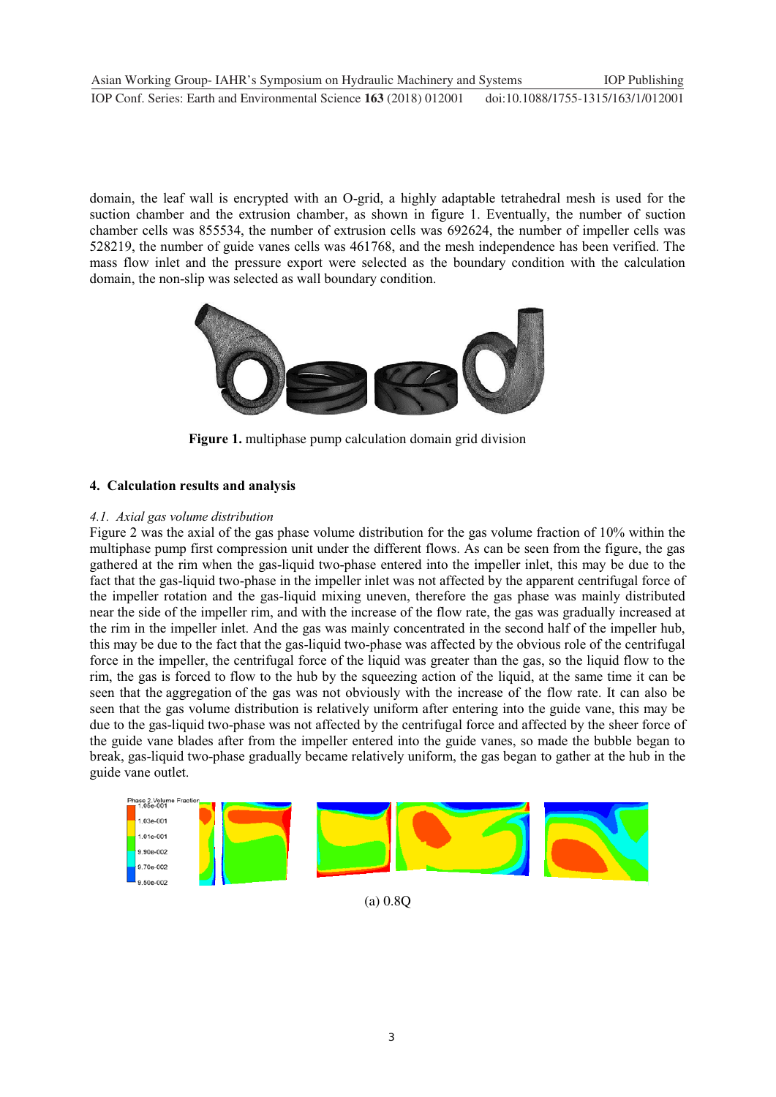domain, the leaf wall is encrypted with an O-grid, a highly adaptable tetrahedral mesh is used for the suction chamber and the extrusion chamber, as shown in figure 1. Eventually, the number of suction chamber cells was 855534, the number of extrusion cells was 692624, the number of impeller cells was 528219, the number of guide vanes cells was 461768, and the mesh independence has been verified. The mass flow inlet and the pressure export were selected as the boundary condition with the calculation domain, the non-slip was selected as wall boundary condition.



**Figure 1.** multiphase pump calculation domain grid division

# **4. Calculation results and analysis**

## *4.1. Axial gas volume distribution*

Figure 2 was the axial of the gas phase volume distribution for the gas volume fraction of 10% within the multiphase pump first compression unit under the different flows. As can be seen from the figure, the gas gathered at the rim when the gas-liquid two-phase entered into the impeller inlet, this may be due to the fact that the gas-liquid two-phase in the impeller inlet was not affected by the apparent centrifugal force of the impeller rotation and the gas-liquid mixing uneven, therefore the gas phase was mainly distributed near the side of the impeller rim, and with the increase of the flow rate, the gas was gradually increased at the rim in the impeller inlet. And the gas was mainly concentrated in the second half of the impeller hub, this may be due to the fact that the gas-liquid two-phase was affected by the obvious role of the centrifugal force in the impeller, the centrifugal force of the liquid was greater than the gas, so the liquid flow to the rim, the gas is forced to flow to the hub by the squeezing action of the liquid, at the same time it can be seen that the aggregation of the gas was not obviously with the increase of the flow rate. It can also be seen that the gas volume distribution is relatively uniform after entering into the guide vane, this may be due to the gas-liquid two-phase was not affected by the centrifugal force and affected by the sheer force of the guide vane blades after from the impeller entered into the guide vanes, so made the bubble began to break, gas-liquid two-phase gradually became relatively uniform, the gas began to gather at the hub in the guide vane outlet. Ī



(a) 0.8Q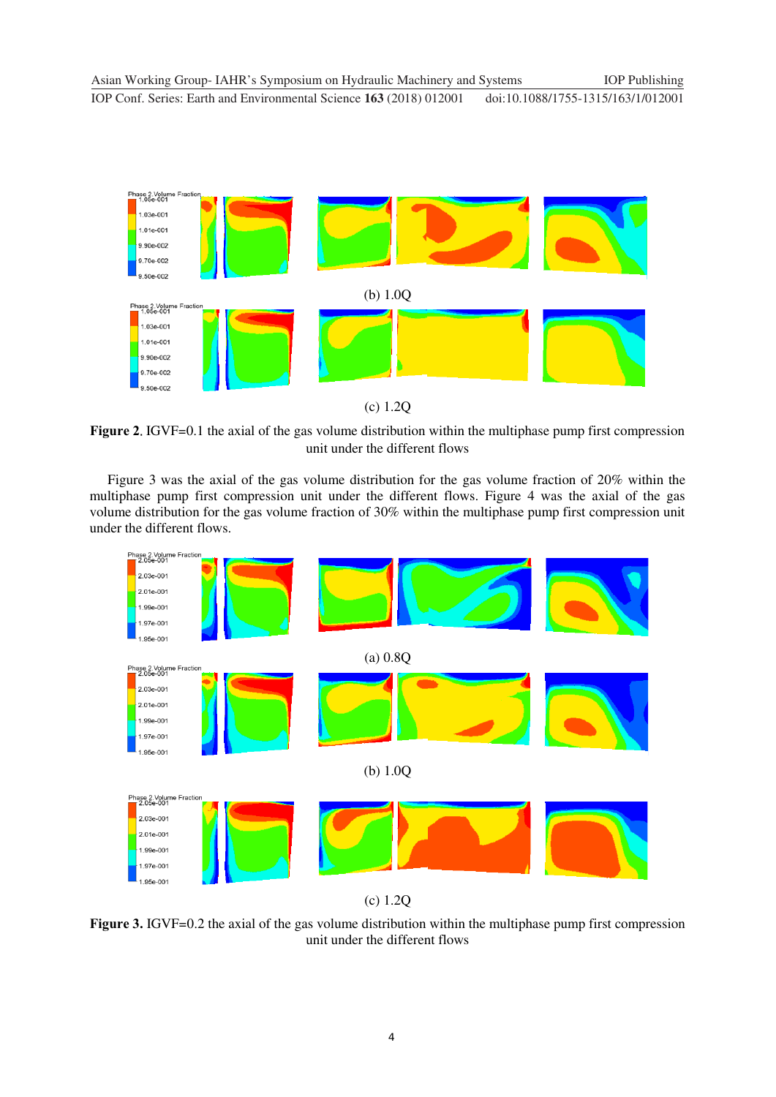

(c) 1.2Q

**Figure 2.** IGVF=0.1 the axial of the gas volume distribution within the multiphase pump first compression unit under the different flows

Figure 3 was the axial of the gas volume distribution for the gas volume fraction of 20% within the multiphase pump first compression unit under the different flows. Figure 4 was the axial of the gas volume distribution for the gas volume fraction of 30% within the multiphase pump first compression unit under the different flows.



(c) 1.2Q

**Figure 3.** IGVF=0.2 the axial of the gas volume distribution within the multiphase pump first compression unit under the different flows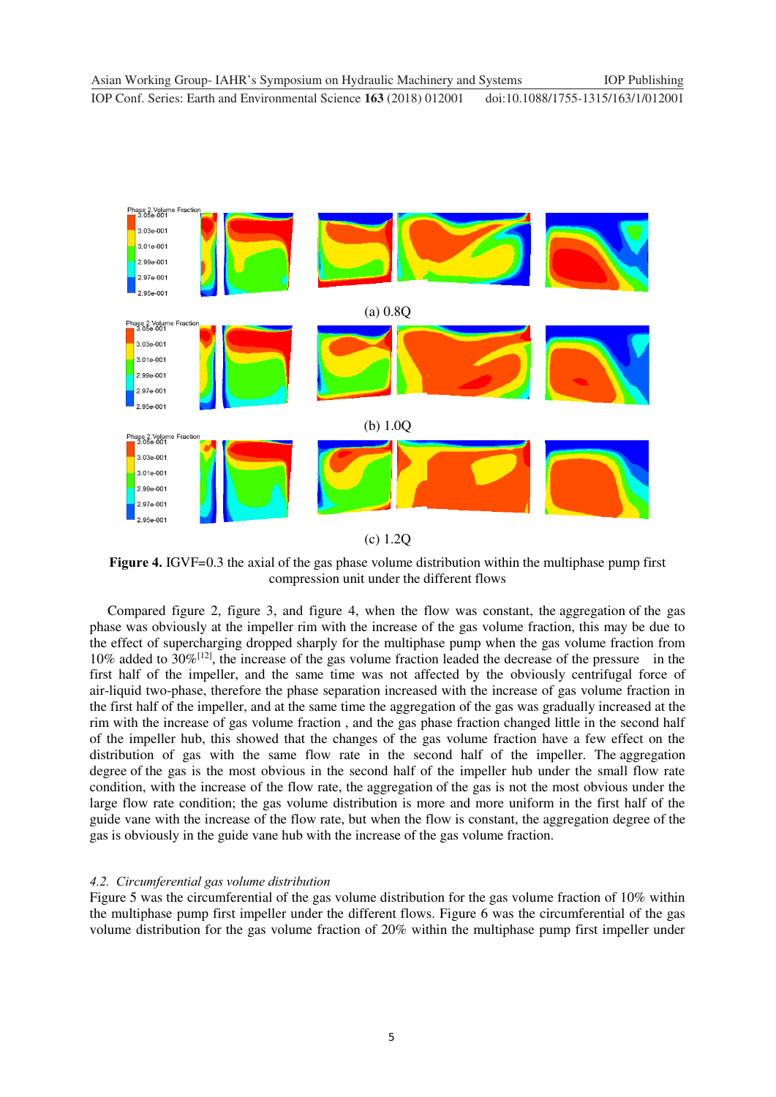

**Figure 4.** IGVF=0.3 the axial of the gas phase volume distribution within the multiphase pump first compression unit under the different flows

Compared figure 2, figure 3, and figure 4, when the flow was constant, the aggregation of the gas phase was obviously at the impeller rim with the increase of the gas volume fraction, this may be due to the effect of supercharging dropped sharply for the multiphase pump when the gas volume fraction from 10% added to 30%[12], the increase of the gas volume fraction leaded the decrease of the pressure in the first half of the impeller, and the same time was not affected by the obviously centrifugal force of air-liquid two-phase, therefore the phase separation increased with the increase of gas volume fraction in the first half of the impeller, and at the same time the aggregation of the gas was gradually increased at the rim with the increase of gas volume fraction , and the gas phase fraction changed little in the second half of the impeller hub, this showed that the changes of the gas volume fraction have a few effect on the distribution of gas with the same flow rate in the second half of the impeller. The aggregation degree of the gas is the most obvious in the second half of the impeller hub under the small flow rate condition, with the increase of the flow rate, the aggregation of the gas is not the most obvious under the large flow rate condition; the gas volume distribution is more and more uniform in the first half of the guide vane with the increase of the flow rate, but when the flow is constant, the aggregation degree of the gas is obviously in the guide vane hub with the increase of the gas volume fraction.

#### *4.2. Circumferential gas volume distribution*

Figure 5 was the circumferential of the gas volume distribution for the gas volume fraction of 10% within the multiphase pump first impeller under the different flows. Figure 6 was the circumferential of the gas volume distribution for the gas volume fraction of 20% within the multiphase pump first impeller under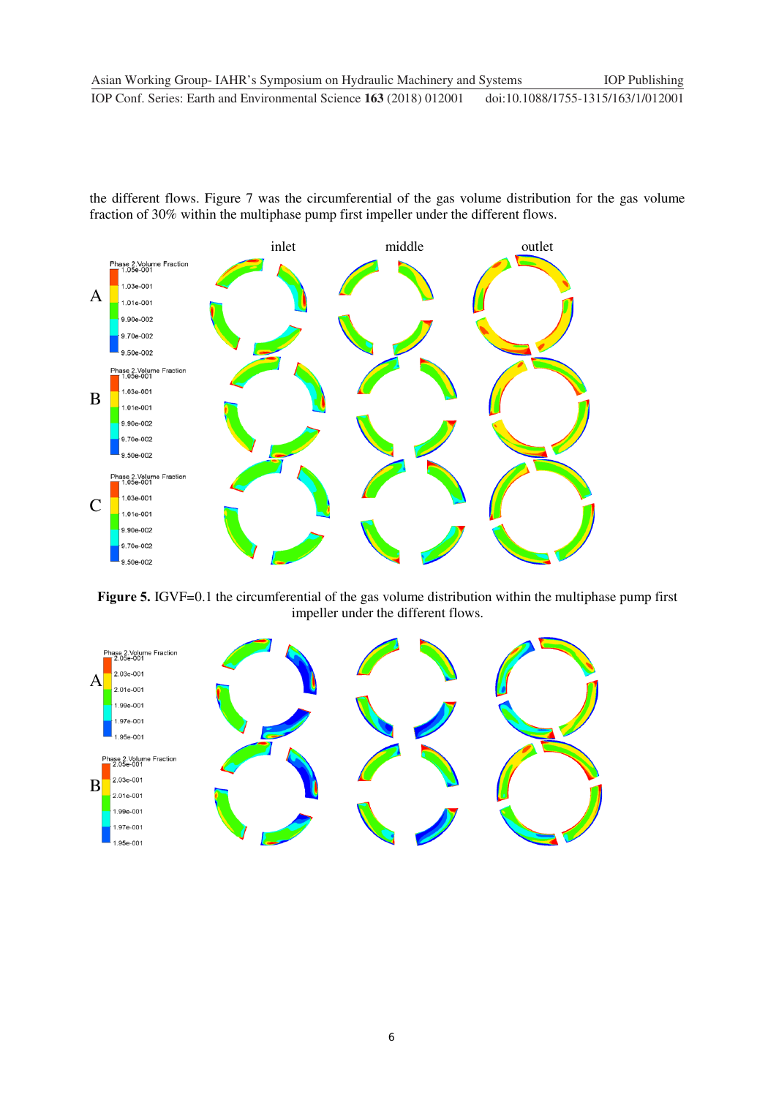the different flows. Figure 7 was the circumferential of the gas volume distribution for the gas volume fraction of 30% within the multiphase pump first impeller under the different flows.



Figure 5. IGVF=0.1 the circumferential of the gas volume distribution within the multiphase pump first impeller under the different flows.

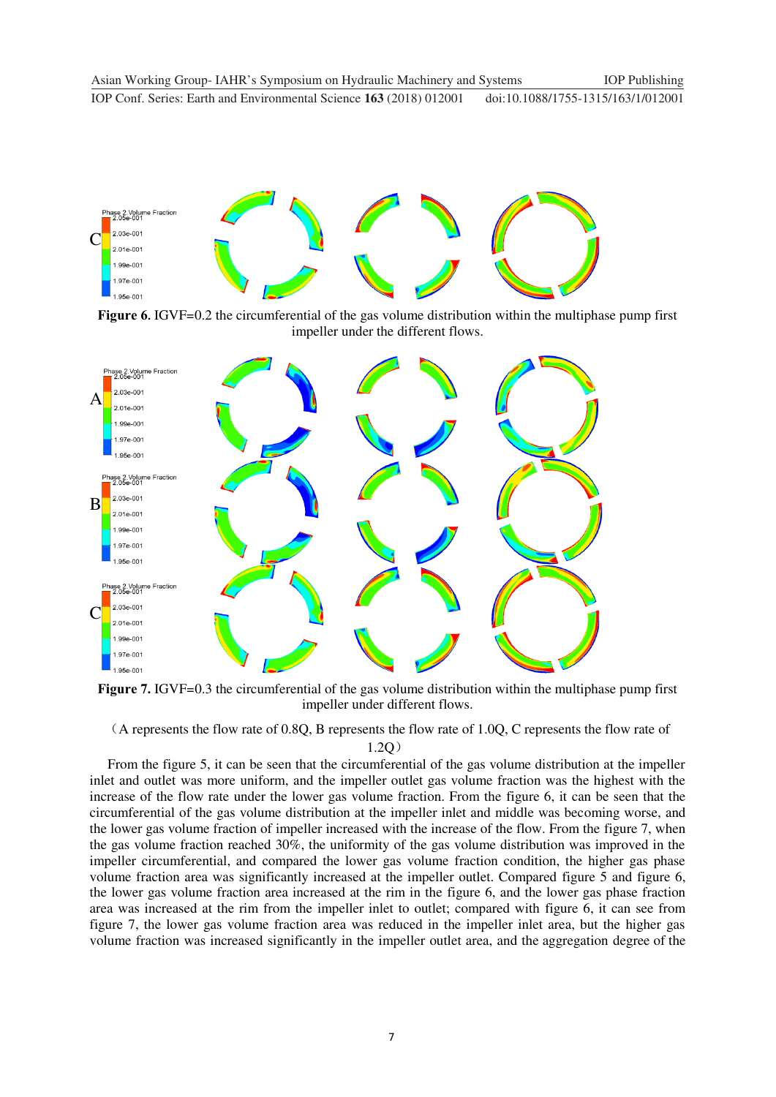

**Figure 6.** IGVF=0.2 the circumferential of the gas volume distribution within the multiphase pump first impeller under the different flows.



Figure 7. IGVF=0.3 the circumferential of the gas volume distribution within the multiphase pump first impeller under different flows.

˄A represents the flow rate of 0.8Q, B represents the flow rate of 1.0Q, C represents the flow rate of

#### $1.2Q)$

From the figure 5, it can be seen that the circumferential of the gas volume distribution at the impeller inlet and outlet was more uniform, and the impeller outlet gas volume fraction was the highest with the increase of the flow rate under the lower gas volume fraction. From the figure 6, it can be seen that the circumferential of the gas volume distribution at the impeller inlet and middle was becoming worse, and the lower gas volume fraction of impeller increased with the increase of the flow. From the figure 7, when the gas volume fraction reached 30%, the uniformity of the gas volume distribution was improved in the impeller circumferential, and compared the lower gas volume fraction condition, the higher gas phase volume fraction area was significantly increased at the impeller outlet. Compared figure 5 and figure 6, the lower gas volume fraction area increased at the rim in the figure 6, and the lower gas phase fraction area was increased at the rim from the impeller inlet to outlet; compared with figure 6, it can see from figure 7, the lower gas volume fraction area was reduced in the impeller inlet area, but the higher gas volume fraction was increased significantly in the impeller outlet area, and the aggregation degree of the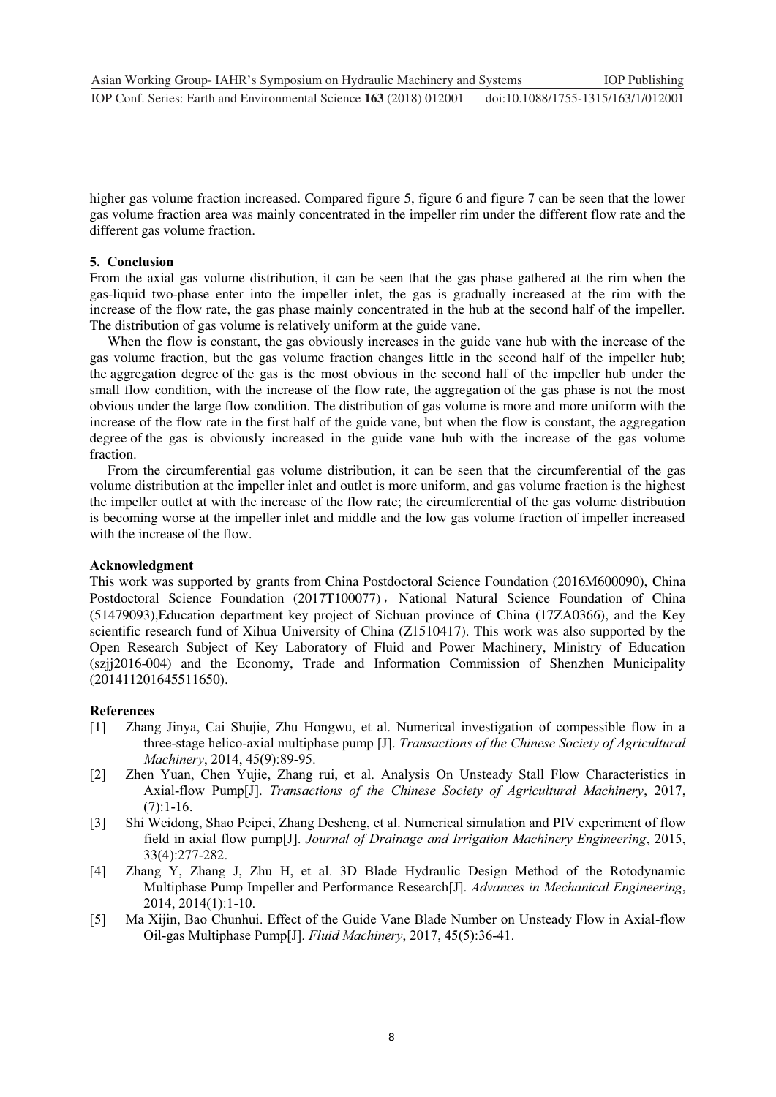higher gas volume fraction increased. Compared figure 5, figure 6 and figure 7 can be seen that the lower gas volume fraction area was mainly concentrated in the impeller rim under the different flow rate and the different gas volume fraction.

#### **5. Conclusion**

From the axial gas volume distribution, it can be seen that the gas phase gathered at the rim when the gas-liquid two-phase enter into the impeller inlet, the gas is gradually increased at the rim with the increase of the flow rate, the gas phase mainly concentrated in the hub at the second half of the impeller. The distribution of gas volume is relatively uniform at the guide vane.

When the flow is constant, the gas obviously increases in the guide vane hub with the increase of the gas volume fraction, but the gas volume fraction changes little in the second half of the impeller hub; the aggregation degree of the gas is the most obvious in the second half of the impeller hub under the small flow condition, with the increase of the flow rate, the aggregation of the gas phase is not the most obvious under the large flow condition. The distribution of gas volume is more and more uniform with the increase of the flow rate in the first half of the guide vane, but when the flow is constant, the aggregation degree of the gas is obviously increased in the guide vane hub with the increase of the gas volume fraction.

From the circumferential gas volume distribution, it can be seen that the circumferential of the gas volume distribution at the impeller inlet and outlet is more uniform, and gas volume fraction is the highest the impeller outlet at with the increase of the flow rate; the circumferential of the gas volume distribution is becoming worse at the impeller inlet and middle and the low gas volume fraction of impeller increased with the increase of the flow.

#### **Acknowledgment**

This work was supported by grants from China Postdoctoral Science Foundation (2016M600090), China Postdoctoral Science Foundation (2017T100077), National Natural Science Foundation of China (51479093),Education department key project of Sichuan province of China (17ZA0366), and the Key scientific research fund of Xihua University of China (Z1510417). This work was also supported by the Open Research Subject of Key Laboratory of Fluid and Power Machinery, Ministry of Education (szjj2016-004) and the Economy, Trade and Information Commission of Shenzhen Municipality (201411201645511650).

#### **References**

- [1] Zhang Jinya, Cai Shujie, Zhu Hongwu, et al. Numerical investigation of compessible flow in a three-stage helico-axial multiphase pump [J]. *Transactions of the Chinese Society of Agricultural Machinery*, 2014, 45(9):89-95.
- [2] Zhen Yuan, Chen Yujie, Zhang rui, et al. Analysis On Unsteady Stall Flow Characteristics in Axial-flow Pump[J]. *Transactions of the Chinese Society of Agricultural Machinery*, 2017,  $(7):1-16.$
- [3] Shi Weidong, Shao Peipei, Zhang Desheng, et al. Numerical simulation and PIV experiment of flow field in axial flow pump[J]. *Journal of Drainage and Irrigation Machinery Engineering*, 2015, 33(4):277-282.
- [4] Zhang Y, Zhang J, Zhu H, et al. 3D Blade Hydraulic Design Method of the Rotodynamic Multiphase Pump Impeller and Performance Research[J]. *Advances in Mechanical Engineering*, 2014, 2014(1):1-10.
- [5] Ma Xijin, Bao Chunhui. Effect of the Guide Vane Blade Number on Unsteady Flow in Axial-flow Oil-gas Multiphase Pump[J]. *Fluid Machinery*, 2017, 45(5):36-41.